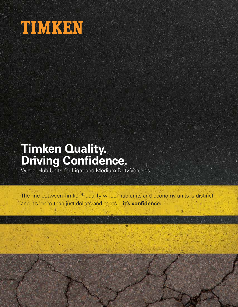

# **Timken Quality. Driving Confidence.**

Wheel Hub Units for Light and Medium-Duty Vehicles

The line between Timken® quality wheel hub units and economy units is distinct and it's more than just dollars and cents – **it's confidence.**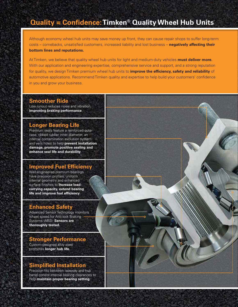### **Quality = Confidence:Timken® Quality Wheel Hub Units**

Although economy wheel hub units may save money up front, they can cause repair shops to suffer long-term costs – comebacks, unsatisfied customers, increased liability and lost business – **negatively affecting their bottom lines and reputations.**

At Timken, we believe that quality wheel hub units for light and medium-duty vehicles **must deliver more.** With our application and engineering expertise, comprehensive service and support, and a strong reputation for quality, we design Timken premium wheel hub units to **improve the efficiency, safety and reliability** of automotive applications. Recommend Timken quality and expertise to help build your customers' confidence in you and grow your business.

#### **Smoother Ride**

Low runout reduces noise and vibration, **improving braking performance**.

#### **Longer Bearing Life**

Premium seals feature a reinforced outer case, ribbed rubber inner diameter, an internal contamination exclusion system and vent holes to help **prevent installation damage, promote positive sealing and enhance seal life and durability**.

#### **Improved Fuel Efficiency**

Well-engineered premium bearings have precision profiles, uniform internal geometry and enhanced surface finishes to **increase loadcarrying capacity, extend bearing life and improve fuel efficiency**.

#### **Enhanced Safety**

Advanced Sensor Technology monitors wheel speed for Anti-lock Braking Systems (ABS). **Sensors are thoroughly tested.**

#### Custom-designed alloy steel promotes **longer hub life**. **Stronger Performance**

#### **Simplified Installation**

Precision fits between raceway and hub barrel control internal bearing clearances to help **maintain proper bearing setting**.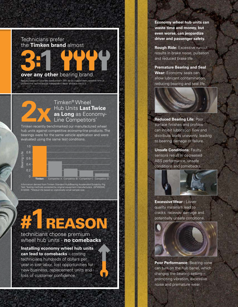



#### **22**<br> **22**<br> **22**<br> **22**<br> **22**<br> **23**<br> **23**<br> **23**<br> **23**<br> **23**<br> **23**<br> **24**<br> **24**<br> **24**<br> **24**<br> **24**<br> **24**<br> **24**<br> **24**<br> **24**<br> **24**<br> **24**<br> **24**<br> **24**<br> **24**<br> **24**<br> **24**<br> **24**<br> **24**<br> **24**<br> **24**<br> **24**<br> **24**<br> **24**<br> **24**<br> **24**<br> **24**<br> Timken® Wheel Hub Units **Last Twice as Long** as Economy-Line Competitors'

hub units against competitive economy-line products. The bearings were for the same vehicle application and were evaluated using the same test conditions.



Information derived from Timken Standard Hub/Bearing Accelerated Durability Rig<br>Test. Testing methods accepted by original equipment manufacturers. (SP450300,<br>513200). \*Weibull life based on statistically small sample size

# **#1**REASON

#### technicians choose premium wheel hub units - **no comebacks**

#### **Installing economy wheel hub units can lead to comebacks** – costing technicians hundreds of dollars per

year in lost labor, lost opportunities for new business, replacement units and loss of customer confidence.

**Economy wheel hub units can waste time and money, but even worse, can jeopardize driver and passenger safety.**

**Rough Ride:** Excessive runout results in brake noise, pulsation and reduced brake life.

**Premature Bearing and Seal Wear:** Economy seals can allow lubricant contamination, reducing bearing and seal life.

**Reduced Bearing Life:** Poor surface finishes and profiles can inhibit lubrication flow and distribute loads unevenly, leading to bearing damage or failure.

**Unsafe Conditions:** Faulty sensors result in decreased ABS performance, unsafe conditions and comebacks.



**Excessive Wear :** Lower quality materials lead to cracks, raceway damage and potentially unsafe conditions.



**Poor Performance:** Bearing cone can turn on the hub barrel, which changes the bearing setting – promoting vibration, excessive noise and premature wear.